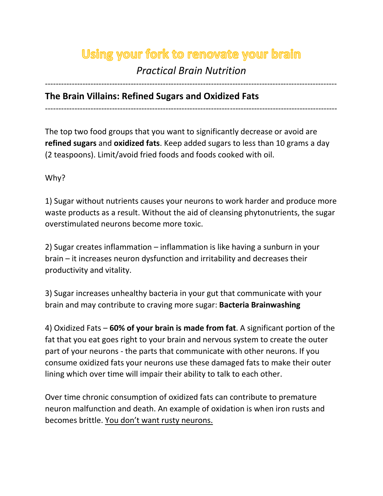# Using your fork to renovate your brain

# *Practical Brain Nutrition*

-------------------------------------------------------------------------------------------------------------

# **The Brain Villains: Refined Sugars and Oxidized Fats**

-------------------------------------------------------------------------------------------------------------

The top two food groups that you want to significantly decrease or avoid are **refined sugars** and **oxidized fats**. Keep added sugars to less than 10 grams a day (2 teaspoons). Limit/avoid fried foods and foods cooked with oil.

Why?

1) Sugar without nutrients causes your neurons to work harder and produce more waste products as a result. Without the aid of cleansing phytonutrients, the sugar overstimulated neurons become more toxic.

2) Sugar creates inflammation – inflammation is like having a sunburn in your brain – it increases neuron dysfunction and irritability and decreases their productivity and vitality.

3) Sugar increases unhealthy bacteria in your gut that communicate with your brain and may contribute to craving more sugar: **Bacteria Brainwashing**

4) Oxidized Fats – **60% of your brain is made from fat**. A significant portion of the fat that you eat goes right to your brain and nervous system to create the outer part of your neurons - the parts that communicate with other neurons. If you consume oxidized fats your neurons use these damaged fats to make their outer lining which over time will impair their ability to talk to each other.

Over time chronic consumption of oxidized fats can contribute to premature neuron malfunction and death. An example of oxidation is when iron rusts and becomes brittle. You don't want rusty neurons.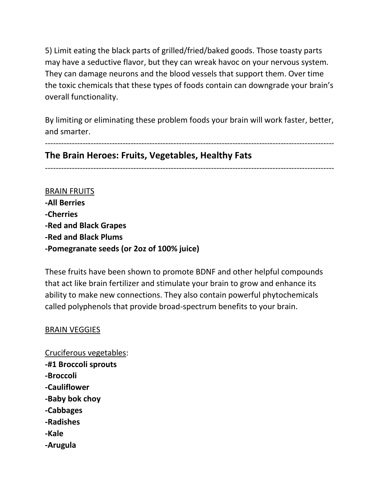5) Limit eating the black parts of grilled/fried/baked goods. Those toasty parts may have a seductive flavor, but they can wreak havoc on your nervous system. They can damage neurons and the blood vessels that support them. Over time the toxic chemicals that these types of foods contain can downgrade your brain's overall functionality.

By limiting or eliminating these problem foods your brain will work faster, better, and smarter.

------------------------------------------------------------------------------------------------------------

# **The Brain Heroes: Fruits, Vegetables, Healthy Fats**

------------------------------------------------------------------------------------------------------------

BRAIN FRUITS **-All Berries -Cherries -Red and Black Grapes -Red and Black Plums -Pomegranate seeds (or 2oz of 100% juice)**

These fruits have been shown to promote BDNF and other helpful compounds that act like brain fertilizer and stimulate your brain to grow and enhance its ability to make new connections. They also contain powerful phytochemicals called polyphenols that provide broad-spectrum benefits to your brain.

#### BRAIN VEGGIES

Cruciferous vegetables: **-#1 Broccoli sprouts -Broccoli -Cauliflower -Baby bok choy -Cabbages -Radishes -Kale -Arugula**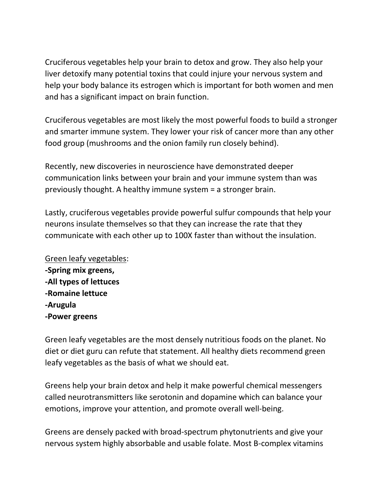Cruciferous vegetables help your brain to detox and grow. They also help your liver detoxify many potential toxins that could injure your nervous system and help your body balance its estrogen which is important for both women and men and has a significant impact on brain function.

Cruciferous vegetables are most likely the most powerful foods to build a stronger and smarter immune system. They lower your risk of cancer more than any other food group (mushrooms and the onion family run closely behind).

Recently, new discoveries in neuroscience have demonstrated deeper communication links between your brain and your immune system than was previously thought. A healthy immune system = a stronger brain.

Lastly, cruciferous vegetables provide powerful sulfur compounds that help your neurons insulate themselves so that they can increase the rate that they communicate with each other up to 100X faster than without the insulation.

Green leafy vegetables: **-Spring mix greens, -All types of lettuces -Romaine lettuce -Arugula -Power greens**

Green leafy vegetables are the most densely nutritious foods on the planet. No diet or diet guru can refute that statement. All healthy diets recommend green leafy vegetables as the basis of what we should eat.

Greens help your brain detox and help it make powerful chemical messengers called neurotransmitters like serotonin and dopamine which can balance your emotions, improve your attention, and promote overall well-being.

Greens are densely packed with broad-spectrum phytonutrients and give your nervous system highly absorbable and usable folate. Most B-complex vitamins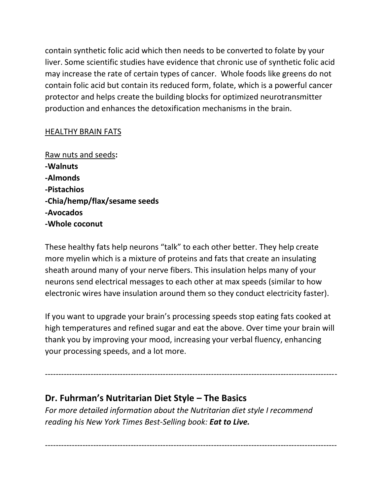contain synthetic folic acid which then needs to be converted to folate by your liver. Some scientific studies have evidence that chronic use of synthetic folic acid may increase the rate of certain types of cancer. Whole foods like greens do not contain folic acid but contain its reduced form, folate, which is a powerful cancer protector and helps create the building blocks for optimized neurotransmitter production and enhances the detoxification mechanisms in the brain.

#### HEALTHY BRAIN FATS

Raw nuts and seeds**: -Walnuts -Almonds -Pistachios -Chia/hemp/flax/sesame seeds -Avocados -Whole coconut**

These healthy fats help neurons "talk" to each other better. They help create more myelin which is a mixture of proteins and fats that create an insulating sheath around many of your nerve fibers. This insulation helps many of your neurons send electrical messages to each other at max speeds (similar to how electronic wires have insulation around them so they conduct electricity faster).

If you want to upgrade your brain's processing speeds stop eating fats cooked at high temperatures and refined sugar and eat the above. Over time your brain will thank you by improving your mood, increasing your verbal fluency, enhancing your processing speeds, and a lot more.

-------------------------------------------------------------------------------------------------------------

# **Dr. Fuhrman's Nutritarian Diet Style – The Basics**

*For more detailed information about the Nutritarian diet style I recommend reading his New York Times Best-Selling book: Eat to Live.*

-------------------------------------------------------------------------------------------------------------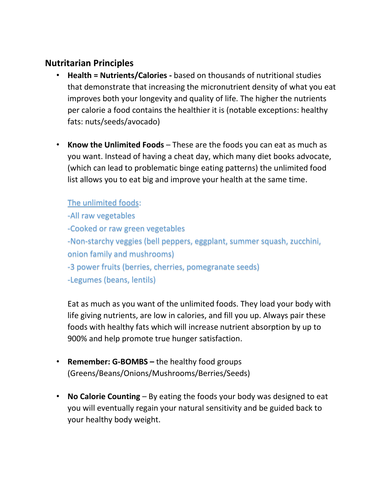# **Nutritarian Principles**

- **Health = Nutrients/Calories -** based on thousands of nutritional studies that demonstrate that increasing the micronutrient density of what you eat improves both your longevity and quality of life. The higher the nutrients per calorie a food contains the healthier it is (notable exceptions: healthy fats: nuts/seeds/avocado)
- **Know the Unlimited Foods** These are the foods you can eat as much as you want. Instead of having a cheat day, which many diet books advocate, (which can lead to problematic binge eating patterns) the unlimited food list allows you to eat big and improve your health at the same time.

### The unlimited foods:

-All raw vegetables

-Cooked or raw green vegetables

-Non-starchy veggies (bell peppers, eggplant, summer squash, zucchini, onion family and mushrooms)

-3 power fruits (berries, cherries, pomegranate seeds)

-Legumes (beans, lentils)

Eat as much as you want of the unlimited foods. They load your body with life giving nutrients, are low in calories, and fill you up. Always pair these foods with healthy fats which will increase nutrient absorption by up to 900% and help promote true hunger satisfaction.

- **Remember: G-BOMBS –** the healthy food groups (Greens/Beans/Onions/Mushrooms/Berries/Seeds)
- **No Calorie Counting** By eating the foods your body was designed to eat you will eventually regain your natural sensitivity and be guided back to your healthy body weight.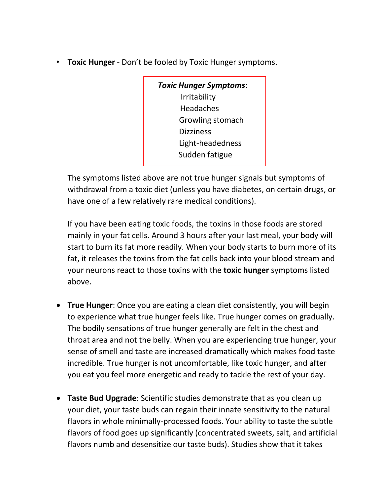• **Toxic Hunger** - Don't be fooled by Toxic Hunger symptoms.

*Toxic Hunger Symptoms*: Irritability Headaches Growling stomach **Dizziness**  Light-headedness Sudden fatigue

The symptoms listed above are not true hunger signals but symptoms of withdrawal from a toxic diet (unless you have diabetes, on certain drugs, or have one of a few relatively rare medical conditions).

If you have been eating toxic foods, the toxins in those foods are stored mainly in your fat cells. Around 3 hours after your last meal, your body will start to burn its fat more readily. When your body starts to burn more of its fat, it releases the toxins from the fat cells back into your blood stream and your neurons react to those toxins with the **toxic hunger** symptoms listed above.

- **True Hunger**: Once you are eating a clean diet consistently, you will begin to experience what true hunger feels like. True hunger comes on gradually. The bodily sensations of true hunger generally are felt in the chest and throat area and not the belly. When you are experiencing true hunger, your sense of smell and taste are increased dramatically which makes food taste incredible. True hunger is not uncomfortable, like toxic hunger, and after you eat you feel more energetic and ready to tackle the rest of your day.
- **Taste Bud Upgrade**: Scientific studies demonstrate that as you clean up your diet, your taste buds can regain their innate sensitivity to the natural flavors in whole minimally-processed foods. Your ability to taste the subtle flavors of food goes up significantly (concentrated sweets, salt, and artificial flavors numb and desensitize our taste buds). Studies show that it takes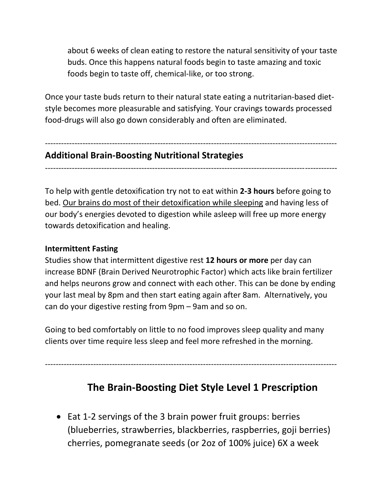about 6 weeks of clean eating to restore the natural sensitivity of your taste buds. Once this happens natural foods begin to taste amazing and toxic foods begin to taste off, chemical-like, or too strong.

Once your taste buds return to their natural state eating a nutritarian-based dietstyle becomes more pleasurable and satisfying. Your cravings towards processed food-drugs will also go down considerably and often are eliminated.

# **Additional Brain-Boosting Nutritional Strategies**

-------------------------------------------------------------------------------------------------------------

-------------------------------------------------------------------------------------------------------------

To help with gentle detoxification try not to eat within **2-3 hours** before going to bed. Our brains do most of their detoxification while sleeping and having less of our body's energies devoted to digestion while asleep will free up more energy towards detoxification and healing.

#### **Intermittent Fasting**

Studies show that intermittent digestive rest **12 hours or more** per day can increase BDNF (Brain Derived Neurotrophic Factor) which acts like brain fertilizer and helps neurons grow and connect with each other. This can be done by ending your last meal by 8pm and then start eating again after 8am. Alternatively, you can do your digestive resting from 9pm – 9am and so on.

Going to bed comfortably on little to no food improves sleep quality and many clients over time require less sleep and feel more refreshed in the morning.

-------------------------------------------------------------------------------------------------------------

# **The Brain-Boosting Diet Style Level 1 Prescription**

• Eat 1-2 servings of the 3 brain power fruit groups: berries (blueberries, strawberries, blackberries, raspberries, goji berries) cherries, pomegranate seeds (or 2oz of 100% juice) 6X a week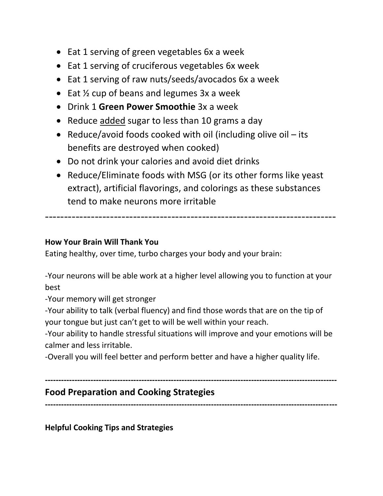- Eat 1 serving of green vegetables 6x a week
- Eat 1 serving of cruciferous vegetables 6x week
- Eat 1 serving of raw nuts/seeds/avocados 6x a week
- Eat  $\frac{1}{2}$  cup of beans and legumes 3x a week
- Drink 1 **Green Power Smoothie** 3x a week
- Reduce added sugar to less than 10 grams a day
- Reduce/avoid foods cooked with oil (including olive oil its benefits are destroyed when cooked)
- Do not drink your calories and avoid diet drinks
- Reduce/Eliminate foods with MSG (or its other forms like yeast extract), artificial flavorings, and colorings as these substances tend to make neurons more irritable

----------------------------------------------------------------------------

### **How Your Brain Will Thank You**

Eating healthy, over time, turbo charges your body and your brain:

-Your neurons will be able work at a higher level allowing you to function at your best

-Your memory will get stronger

-Your ability to talk (verbal fluency) and find those words that are on the tip of your tongue but just can't get to will be well within your reach.

-Your ability to handle stressful situations will improve and your emotions will be calmer and less irritable.

-Overall you will feel better and perform better and have a higher quality life.

# **Food Preparation and Cooking Strategies**

**-------------------------------------------------------------------------------------------------------------**

**-------------------------------------------------------------------------------------------------------------**

**Helpful Cooking Tips and Strategies**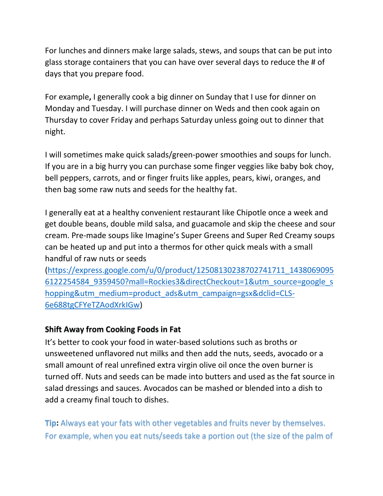For lunches and dinners make large salads, stews, and soups that can be put into glass storage containers that you can have over several days to reduce the # of days that you prepare food.

For example**,** I generally cook a big dinner on Sunday that I use for dinner on Monday and Tuesday. I will purchase dinner on Weds and then cook again on Thursday to cover Friday and perhaps Saturday unless going out to dinner that night.

I will sometimes make quick salads/green-power smoothies and soups for lunch. If you are in a big hurry you can purchase some finger veggies like baby bok choy, bell peppers, carrots, and or finger fruits like apples, pears, kiwi, oranges, and then bag some raw nuts and seeds for the healthy fat.

I generally eat at a healthy convenient restaurant like Chipotle once a week and get double beans, double mild salsa, and guacamole and skip the cheese and sour cream. Pre-made soups like Imagine's Super Greens and Super Red Creamy soups can be heated up and put into a thermos for other quick meals with a small handful of raw nuts or seeds

[\(https://express.google.com/u/0/product/12508130238702741711\\_1438069095](https://express.google.com/u/0/product/12508130238702741711_14380690956122254584_9359450?mall=Rockies3&directCheckout=1&utm_source=google_shopping&utm_medium=product_ads&utm_campaign=gsx&dclid=CLS-6e688tgCFYeTZAodXrkIGw) [6122254584\\_9359450?mall=Rockies3&directCheckout=1&utm\\_source=google\\_s](https://express.google.com/u/0/product/12508130238702741711_14380690956122254584_9359450?mall=Rockies3&directCheckout=1&utm_source=google_shopping&utm_medium=product_ads&utm_campaign=gsx&dclid=CLS-6e688tgCFYeTZAodXrkIGw) [hopping&utm\\_medium=product\\_ads&utm\\_campaign=gsx&dclid=CLS-](https://express.google.com/u/0/product/12508130238702741711_14380690956122254584_9359450?mall=Rockies3&directCheckout=1&utm_source=google_shopping&utm_medium=product_ads&utm_campaign=gsx&dclid=CLS-6e688tgCFYeTZAodXrkIGw)[6e688tgCFYeTZAodXrkIGw\)](https://express.google.com/u/0/product/12508130238702741711_14380690956122254584_9359450?mall=Rockies3&directCheckout=1&utm_source=google_shopping&utm_medium=product_ads&utm_campaign=gsx&dclid=CLS-6e688tgCFYeTZAodXrkIGw)

## **Shift Away from Cooking Foods in Fat**

It's better to cook your food in water-based solutions such as broths or unsweetened unflavored nut milks and then add the nuts, seeds, avocado or a small amount of real unrefined extra virgin olive oil once the oven burner is turned off. Nuts and seeds can be made into butters and used as the fat source in salad dressings and sauces. Avocados can be mashed or blended into a dish to add a creamy final touch to dishes.

**Tip:** Always eat your fats with other vegetables and fruits never by themselves. For example, when you eat nuts/seeds take a portion out (the size of the palm of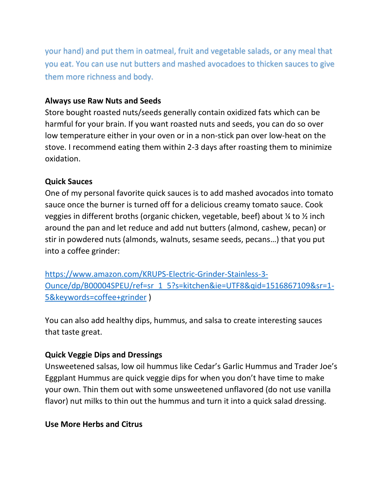your hand) and put them in oatmeal, fruit and vegetable salads, or any meal that you eat. You can use nut butters and mashed avocadoes to thicken sauces to give them more richness and body.

#### **Always use Raw Nuts and Seeds**

Store bought roasted nuts/seeds generally contain oxidized fats which can be harmful for your brain. If you want roasted nuts and seeds, you can do so over low temperature either in your oven or in a non-stick pan over low-heat on the stove. I recommend eating them within 2-3 days after roasting them to minimize oxidation.

#### **Quick Sauces**

One of my personal favorite quick sauces is to add mashed avocados into tomato sauce once the burner is turned off for a delicious creamy tomato sauce. Cook veggies in different broths (organic chicken, vegetable, beef) about ¼ to ½ inch around the pan and let reduce and add nut butters (almond, cashew, pecan) or stir in powdered nuts (almonds, walnuts, sesame seeds, pecans…) that you put into a coffee grinder:

[https://www.amazon.com/KRUPS-Electric-Grinder-Stainless-3-](https://www.amazon.com/KRUPS-Electric-Grinder-Stainless-3-Ounce/dp/B00004SPEU/ref=sr_1_5?s=kitchen&ie=UTF8&qid=1516867109&sr=1-5&keywords=coffee+grinder) [Ounce/dp/B00004SPEU/ref=sr\\_1\\_5?s=kitchen&ie=UTF8&qid=1516867109&sr=1-](https://www.amazon.com/KRUPS-Electric-Grinder-Stainless-3-Ounce/dp/B00004SPEU/ref=sr_1_5?s=kitchen&ie=UTF8&qid=1516867109&sr=1-5&keywords=coffee+grinder) [5&keywords=coffee+grinder](https://www.amazon.com/KRUPS-Electric-Grinder-Stainless-3-Ounce/dp/B00004SPEU/ref=sr_1_5?s=kitchen&ie=UTF8&qid=1516867109&sr=1-5&keywords=coffee+grinder) )

You can also add healthy dips, hummus, and salsa to create interesting sauces that taste great.

#### **Quick Veggie Dips and Dressings**

Unsweetened salsas, low oil hummus like Cedar's Garlic Hummus and Trader Joe's Eggplant Hummus are quick veggie dips for when you don't have time to make your own. Thin them out with some unsweetened unflavored (do not use vanilla flavor) nut milks to thin out the hummus and turn it into a quick salad dressing.

#### **Use More Herbs and Citrus**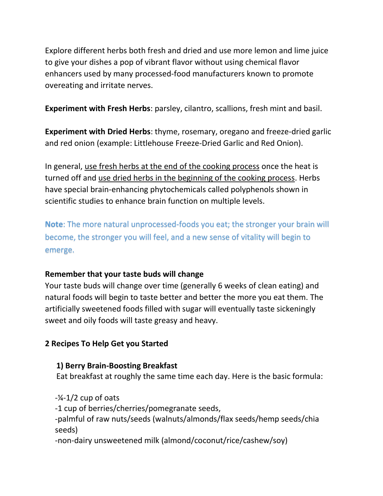Explore different herbs both fresh and dried and use more lemon and lime juice to give your dishes a pop of vibrant flavor without using chemical flavor enhancers used by many processed-food manufacturers known to promote overeating and irritate nerves.

**Experiment with Fresh Herbs**: parsley, cilantro, scallions, fresh mint and basil.

**Experiment with Dried Herbs**: thyme, rosemary, oregano and freeze-dried garlic and red onion (example: Littlehouse Freeze-Dried Garlic and Red Onion).

In general, use fresh herbs at the end of the cooking process once the heat is turned off and use dried herbs in the beginning of the cooking process. Herbs have special brain-enhancing phytochemicals called polyphenols shown in scientific studies to enhance brain function on multiple levels.

**Note**: The more natural unprocessed-foods you eat; the stronger your brain will become, the stronger you will feel, and a new sense of vitality will begin to emerge.

## **Remember that your taste buds will change**

Your taste buds will change over time (generally 6 weeks of clean eating) and natural foods will begin to taste better and better the more you eat them. The artificially sweetened foods filled with sugar will eventually taste sickeningly sweet and oily foods will taste greasy and heavy.

# **2 Recipes To Help Get you Started**

# **1) Berry Brain-Boosting Breakfast**

Eat breakfast at roughly the same time each day. Here is the basic formula:

 $-\frac{1}{4}$ -1/2 cup of oats -1 cup of berries/cherries/pomegranate seeds, -palmful of raw nuts/seeds (walnuts/almonds/flax seeds/hemp seeds/chia seeds)

-non-dairy unsweetened milk (almond/coconut/rice/cashew/soy)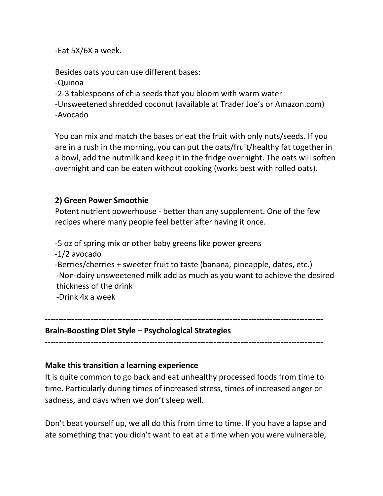-Eat 5X/6X a week.

Besides oats you can use different bases:

-Quinoa

-2-3 tablespoons of chia seeds that you bloom with warm water

-Unsweetened shredded coconut (available at Trader Joe's or Amazon.com) -Avocado

You can mix and match the bases or eat the fruit with only nuts/seeds. If you are in a rush in the morning, you can put the oats/fruit/healthy fat together in a bowl, add the nutmilk and keep it in the fridge overnight. The oats will soften overnight and can be eaten without cooking (works best with rolled oats).

# **2) Green Power Smoothie**

Potent nutrient powerhouse - better than any supplement. One of the few recipes where many people feel better after having it once.

-5 oz of spring mix or other baby greens like power greens

-1/2 avocado

 -Berries/cherries + sweeter fruit to taste (banana, pineapple, dates, etc.) -Non-dairy unsweetened milk add as much as you want to achieve the desired thickness of the drink

-Drink 4x a week

**--------------------------------------------------------------------------------------------------------**

**Brain-Boosting Diet Style – Psychological Strategies**

**--------------------------------------------------------------------------------------------------------**

## **Make this transition a learning experience**

It is quite common to go back and eat unhealthy processed foods from time to time. Particularly during times of increased stress, times of increased anger or sadness, and days when we don't sleep well.

Don't beat yourself up, we all do this from time to time. If you have a lapse and ate something that you didn't want to eat at a time when you were vulnerable,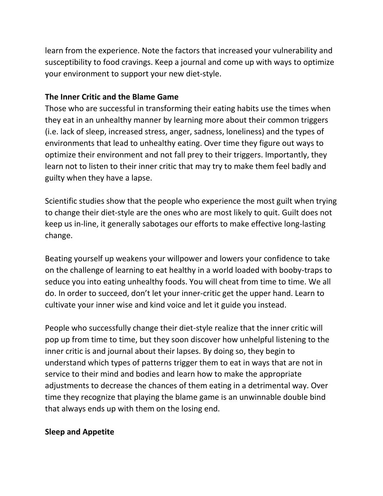learn from the experience. Note the factors that increased your vulnerability and susceptibility to food cravings. Keep a journal and come up with ways to optimize your environment to support your new diet-style.

### **The Inner Critic and the Blame Game**

Those who are successful in transforming their eating habits use the times when they eat in an unhealthy manner by learning more about their common triggers (i.e. lack of sleep, increased stress, anger, sadness, loneliness) and the types of environments that lead to unhealthy eating. Over time they figure out ways to optimize their environment and not fall prey to their triggers. Importantly, they learn not to listen to their inner critic that may try to make them feel badly and guilty when they have a lapse.

Scientific studies show that the people who experience the most guilt when trying to change their diet-style are the ones who are most likely to quit. Guilt does not keep us in-line, it generally sabotages our efforts to make effective long-lasting change.

Beating yourself up weakens your willpower and lowers your confidence to take on the challenge of learning to eat healthy in a world loaded with booby-traps to seduce you into eating unhealthy foods. You will cheat from time to time. We all do. In order to succeed, don't let your inner-critic get the upper hand. Learn to cultivate your inner wise and kind voice and let it guide you instead.

People who successfully change their diet-style realize that the inner critic will pop up from time to time, but they soon discover how unhelpful listening to the inner critic is and journal about their lapses. By doing so, they begin to understand which types of patterns trigger them to eat in ways that are not in service to their mind and bodies and learn how to make the appropriate adjustments to decrease the chances of them eating in a detrimental way. Over time they recognize that playing the blame game is an unwinnable double bind that always ends up with them on the losing end.

#### **Sleep and Appetite**